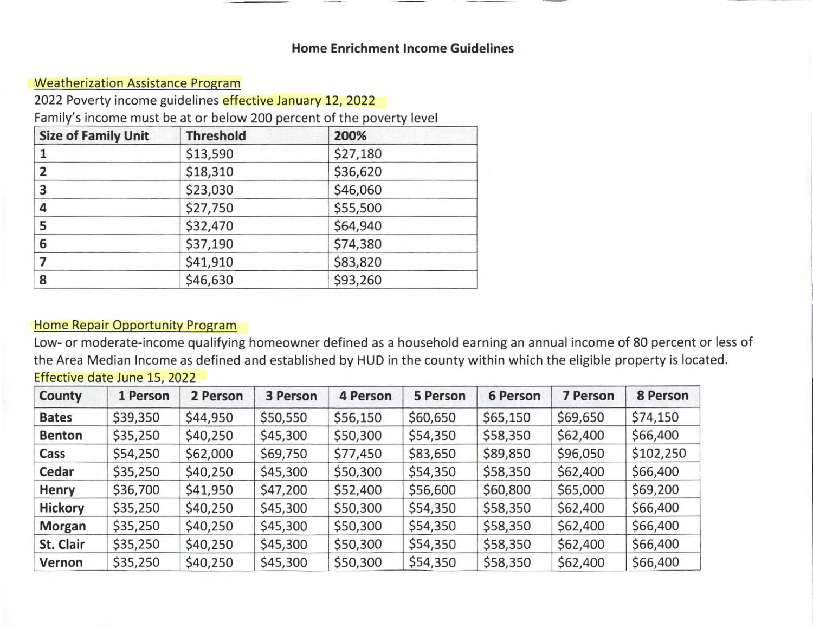## **Home Enrichment Income Guidelines**

## **Weatherization Assistance Program**

2022 Poverty income guidelines effective January 12, 2022

Family's income must be at or below 200 percent of the poverty level

| <b>Size of Family Unit</b> | <b>Threshold</b> | 200%<br>\$27,180 |  |  |
|----------------------------|------------------|------------------|--|--|
|                            | \$13,590         |                  |  |  |
| $\overline{2}$             | \$18,310         | \$36,620         |  |  |
| 3                          | \$23,030         | \$46,060         |  |  |
| 4                          | \$27,750         | \$55,500         |  |  |
| 5                          | \$32,470         | \$64,940         |  |  |
| 6                          | \$37,190         | \$74,380         |  |  |
|                            | \$41,910         | \$83,820         |  |  |
| 8                          | \$46,630         | \$93,260         |  |  |

## Home Repair Opportunity Program

Low- or moderate-income qualifying homeowner defined as a household earning an annual income of 80 percent or less of the Area Median Income as defined and established by HUD in the county within which the eligible property is located.

| County         | 1 Person | 2 Person | 3 Person | <b>4 Person</b> | 5 Person | <b>6 Person</b> | <b>7 Person</b> | 8 Person  |
|----------------|----------|----------|----------|-----------------|----------|-----------------|-----------------|-----------|
| <b>Bates</b>   | \$39,350 | \$44,950 | \$50,550 | \$56,150        | \$60,650 | \$65,150        | \$69,650        | \$74,150  |
| <b>Benton</b>  | \$35,250 | \$40,250 | \$45,300 | \$50,300        | \$54,350 | \$58,350        | \$62,400        | \$66,400  |
| Cass           | \$54,250 | \$62,000 | \$69,750 | \$77,450        | \$83,650 | \$89,850        | \$96,050        | \$102,250 |
| Cedar          | \$35,250 | \$40,250 | \$45,300 | \$50,300        | \$54,350 | \$58,350        | \$62,400        | \$66,400  |
| Henry          | \$36,700 | \$41,950 | \$47,200 | \$52,400        | \$56,600 | \$60,800        | \$65,000        | \$69,200  |
| <b>Hickory</b> | \$35,250 | \$40,250 | \$45,300 | \$50,300        | \$54,350 | \$58,350        | \$62,400        | \$66,400  |
| Morgan         | \$35,250 | \$40,250 | \$45,300 | \$50,300        | \$54,350 | \$58,350        | \$62,400        | \$66,400  |
| St. Clair      | \$35,250 | \$40,250 | \$45,300 | \$50,300        | \$54,350 | \$58,350        | \$62,400        | \$66,400  |
| Vernon         | \$35,250 | \$40,250 | \$45,300 | \$50,300        | \$54,350 | \$58,350        | \$62,400        | \$66,400  |

# Effective date June 15, 2022